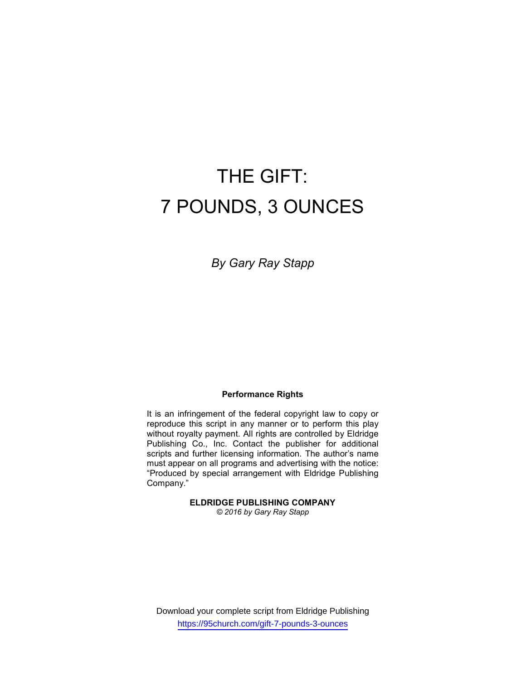# THE GIFT: 7 POUNDS, 3 OUNCES

By Gary Ray Stapp

#### Performance Rights

It is an infringement of the federal copyright law to copy or reproduce this script in any manner or to perform this play without royalty payment. All rights are controlled by Eldridge Publishing Co., Inc. Contact the publisher for additional scripts and further licensing information. The author's name must appear on all programs and advertising with the notice: "Produced by special arrangement with Eldridge Publishing Company."

# ELDRIDGE PUBLISHING COMPANY

© 2016 by Gary Ray Stapp

Download your complete script from Eldridge Publishing https://95church.com/gift-7-pounds-3-ounces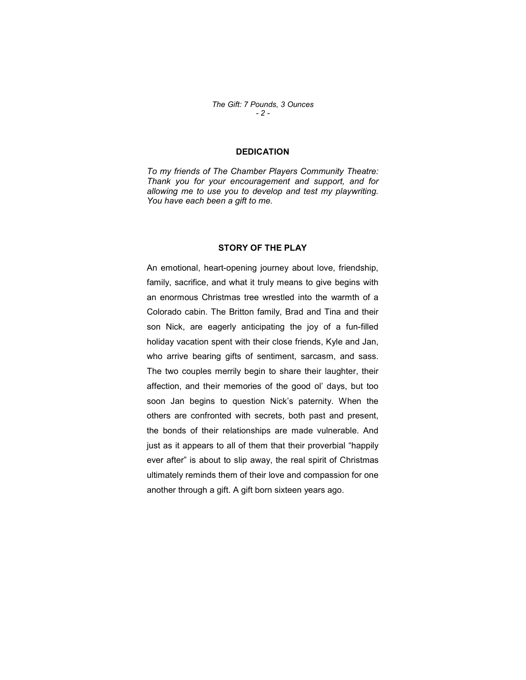# DEDICATION

To my friends of The Chamber Players Community Theatre: Thank you for your encouragement and support, and for allowing me to use you to develop and test my playwriting. You have each been a gift to me.

#### STORY OF THE PLAY

An emotional, heart-opening journey about love, friendship, family, sacrifice, and what it truly means to give begins with an enormous Christmas tree wrestled into the warmth of a Colorado cabin. The Britton family, Brad and Tina and their son Nick, are eagerly anticipating the joy of a fun-filled holiday vacation spent with their close friends, Kyle and Jan, who arrive bearing gifts of sentiment, sarcasm, and sass. The two couples merrily begin to share their laughter, their affection, and their memories of the good ol' days, but too soon Jan begins to question Nick's paternity. When the others are confronted with secrets, both past and present, the bonds of their relationships are made vulnerable. And just as it appears to all of them that their proverbial "happily ever after" is about to slip away, the real spirit of Christmas ultimately reminds them of their love and compassion for one another through a gift. A gift born sixteen years ago.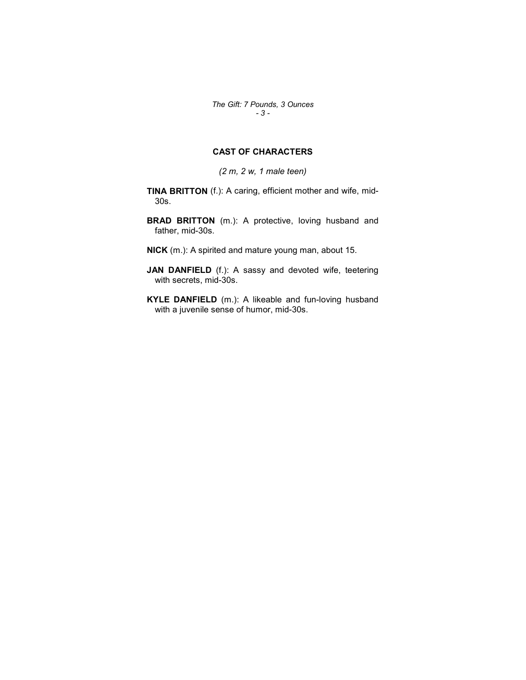The Gift: 7 Pounds, 3 Ounces - 3 -

# CAST OF CHARACTERS

(2 m, 2 w, 1 male teen)

TINA BRITTON (f.): A caring, efficient mother and wife, mid-30s.

BRAD BRITTON (m.): A protective, loving husband and father, mid-30s.

NICK (m.): A spirited and mature young man, about 15.

JAN DANFIELD (f.): A sassy and devoted wife, teetering with secrets, mid-30s.

KYLE DANFIELD (m.): A likeable and fun-loving husband with a juvenile sense of humor, mid-30s.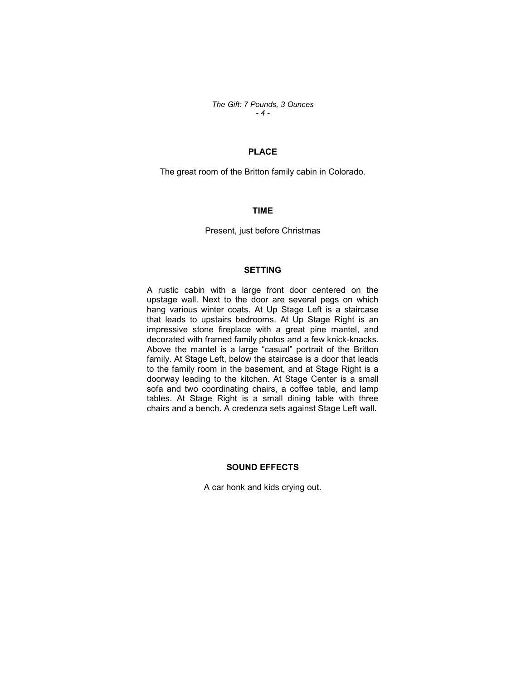The Gift: 7 Pounds, 3 Ounces - 4 -

# PLACE

The great room of the Britton family cabin in Colorado.

#### TIME

Present, just before Christmas

# SETTING

A rustic cabin with a large front door centered on the upstage wall. Next to the door are several pegs on which hang various winter coats. At Up Stage Left is a staircase that leads to upstairs bedrooms. At Up Stage Right is an impressive stone fireplace with a great pine mantel, and decorated with framed family photos and a few knick-knacks. Above the mantel is a large "casual" portrait of the Britton family. At Stage Left, below the staircase is a door that leads to the family room in the basement, and at Stage Right is a doorway leading to the kitchen. At Stage Center is a small sofa and two coordinating chairs, a coffee table, and lamp tables. At Stage Right is a small dining table with three chairs and a bench. A credenza sets against Stage Left wall.

#### SOUND EFFECTS

A car honk and kids crying out.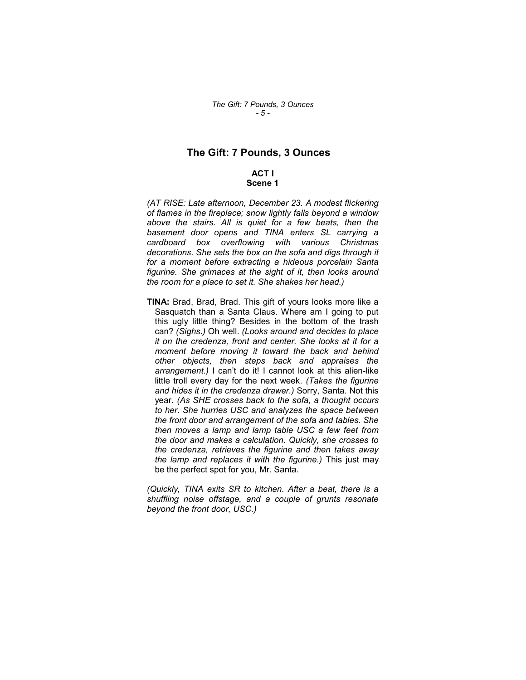# The Gift: 7 Pounds, 3 Ounces

# ACT I Scene 1

(AT RISE: Late afternoon, December 23. A modest flickering of flames in the fireplace; snow lightly falls beyond a window above the stairs. All is quiet for a few beats, then the basement door opens and TINA enters SL carrying a cardboard box overflowing with various Christmas decorations. She sets the box on the sofa and digs through it for a moment before extracting a hideous porcelain Santa figurine. She grimaces at the sight of it, then looks around the room for a place to set it. She shakes her head.)

TINA: Brad, Brad, Brad. This gift of yours looks more like a Sasquatch than a Santa Claus. Where am I going to put this ugly little thing? Besides in the bottom of the trash can? (Sighs.) Oh well. (Looks around and decides to place it on the credenza, front and center. She looks at it for a moment before moving it toward the back and behind other objects, then steps back and appraises the arrangement.) I can't do it! I cannot look at this alien-like little troll every day for the next week. (Takes the figurine and hides it in the credenza drawer.) Sorry, Santa. Not this year. (As SHE crosses back to the sofa, a thought occurs to her. She hurries USC and analyzes the space between the front door and arrangement of the sofa and tables. She then moves a lamp and lamp table USC a few feet from the door and makes a calculation. Quickly, she crosses to the credenza, retrieves the figurine and then takes away the lamp and replaces it with the figurine.) This just may be the perfect spot for you, Mr. Santa.

(Quickly, TINA exits SR to kitchen. After a beat, there is a shuffling noise offstage, and a couple of grunts resonate beyond the front door, USC.)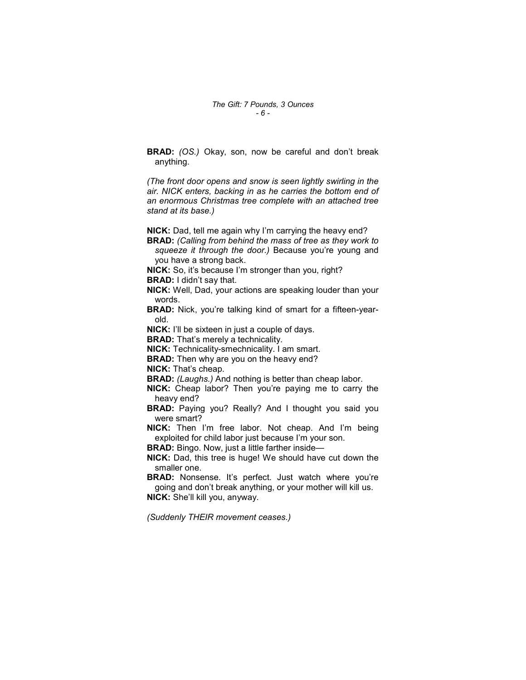BRAD: (OS.) Okay, son, now be careful and don't break anything.

(The front door opens and snow is seen lightly swirling in the air. NICK enters, backing in as he carries the bottom end of an enormous Christmas tree complete with an attached tree stand at its base.)

NICK: Dad, tell me again why I'm carrying the heavy end?

- BRAD: (Calling from behind the mass of tree as they work to squeeze it through the door.) Because you're young and you have a strong back.
- NICK: So, it's because I'm stronger than you, right?

BRAD: I didn't say that.

NICK: Well, Dad, your actions are speaking louder than your words.

**BRAD:** Nick, you're talking kind of smart for a fifteen-yearold.

NICK: I'll be sixteen in just a couple of days.

**BRAD:** That's merely a technicality.

NICK: Technicality-smechnicality. I am smart.

**BRAD:** Then why are you on the heavy end?

NICK: That's cheap.

**BRAD:** (Laughs.) And nothing is better than cheap labor.

NICK: Cheap labor? Then you're paying me to carry the heavy end?

BRAD: Paying you? Really? And I thought you said you were smart?

NICK: Then I'm free labor. Not cheap. And I'm being exploited for child labor just because I'm your son.

BRAD: Bingo. Now, just a little farther inside—

NICK: Dad, this tree is huge! We should have cut down the smaller one.

**BRAD:** Nonsense. It's perfect. Just watch where you're going and don't break anything, or your mother will kill us. NICK: She'll kill you, anyway.

(Suddenly THEIR movement ceases.)